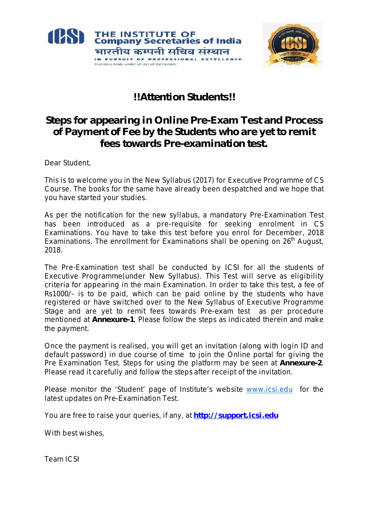



# **!!Attention Students!!**

# **Steps for appearing in Online Pre-Exam Test and Process of Payment of Fee by the Students who are yet to remit fees towards Pre-examination test.**

Dear Student,

This is to welcome you in the New Syllabus (2017) for Executive Programme of CS Course. The books for the same have already been despatched and we hope that you have started your studies.

As per the notification for the new syllabus, a mandatory Pre-Examination Test has been introduced as a pre-requisite for seeking enrolment in CS Examinations. You have to take this test before you enrol for December, 2018 Examinations. The enrollment for Examinations shall be opening on 26<sup>th</sup> August, 2018.

The Pre-Examination test shall be conducted by ICSI for all the students of Executive Programme(under New Syllabus). This Test will serve as eligibility criteria for appearing in the main Examination. In order to take this test, a fee of Rs1000/- is to be paid, which can be paid online by the students who have registered or have switched over to the New Syllabus of Executive Programme Stage and are yet to remit fees towards Pre-exam test as per procedure mentioned at **Annexure-1**. Please follow the steps as indicated therein and make the payment.

Once the payment is realised, you will get an invitation (along with login ID and default password) in due course of time to join the Online portal for giving the Pre Examination Test. Steps for using the platform may be seen at **Annexure-2**. Please read it carefully and follow the steps after receipt of the invitation.

Please monitor the 'Student' page of Institute's website www.icsi.edu for the latest updates on Pre-Examination Test.

You are free to raise your queries, if any, at **http://support.icsi.edu**

With best wishes,

Team ICSI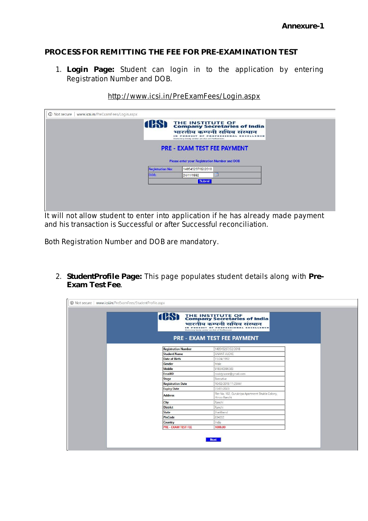## **PROCESS FOR REMITTING THE FEE FOR PRE-EXAMINATION TEST**

1. **Login Page:** Student can login in to the application by entering Registration Number and DOB.

|                         | Statutory body under an Act of Parliament     |                                    |
|-------------------------|-----------------------------------------------|------------------------------------|
|                         |                                               | <b>PRE - EXAM TEST FEE PAYMENT</b> |
|                         | Please enter your Registration Number and DOB |                                    |
| <b>Registration No:</b> | 140545237/02/2018                             |                                    |
| DOB:                    | 24/11/1992                                    |                                    |
|                         | <b>Submit</b>                                 |                                    |

#### http://www.icsi.in/PreExamFees/Login.aspx

It will not allow student to enter into application if he has already made payment and his transaction is Successful or after Successful reconciliation.

Both Registration Number and DOB are mandatory.

2. **StudentProfile Page:** This page populates student details along with **Pre-Exam Test Fee**.

|                            | <b>(CS)</b> THE INSTITUTE OF of India<br>भारतीय कम्पनी सचिव संस्थान<br>IN PURSUIT OF<br>Statutory body under an Act of Parliament |  |  |
|----------------------------|-----------------------------------------------------------------------------------------------------------------------------------|--|--|
|                            | <b>PRE - EXAM TEST FEE PAYMENT</b>                                                                                                |  |  |
| <b>Registration Number</b> | 140545237/02/2018                                                                                                                 |  |  |
| <b>Student Name</b>        | ANANT ALOKE                                                                                                                       |  |  |
| Date of Birth              | 11/24/1992                                                                                                                        |  |  |
| Gender                     | Male                                                                                                                              |  |  |
| Mobile                     | 918340398583                                                                                                                      |  |  |
| EmailID                    | noddyisone@gmail.com                                                                                                              |  |  |
| <b>Stage</b>               | Executive                                                                                                                         |  |  |
| <b>Registration Date</b>   | 10/02/2018 11:25AM                                                                                                                |  |  |
| <b>Expiry Date</b>         | 31/01/2023                                                                                                                        |  |  |
| <b>Address</b>             | Flat No, 102, Gurukripa Apartment Shukla Colony,<br>Hinoo Ranchi                                                                  |  |  |
| City                       | Ranchi                                                                                                                            |  |  |
| <b>District</b>            | Ranchi                                                                                                                            |  |  |
| <b>State</b>               | Jharkhand                                                                                                                         |  |  |
| PinCode                    | 834002                                                                                                                            |  |  |
| Country                    | India                                                                                                                             |  |  |
| <b>PRE - EXAM TEST FEE</b> | 1000.00                                                                                                                           |  |  |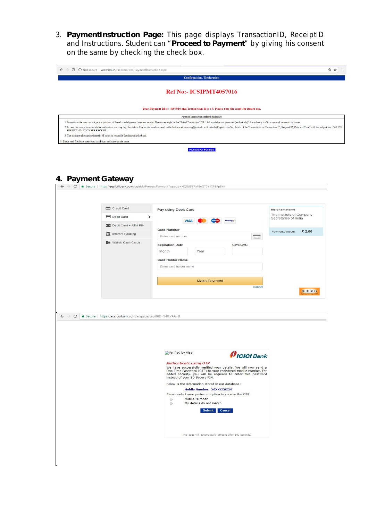3. **PaymentInstruction Page:** This page displays TransactionID, ReceiptID and Instructions. Student can "**Proceed to Payment**" by giving his consent on the same by checking the check box.

| C   0 Not secure   www.icsi.in/PreExamFees/PaymentInstruction.aspx                                                 |                                 |                                                                                                                                                                                                                                                                                                                                                                                                                                                                  |                                                  |
|--------------------------------------------------------------------------------------------------------------------|---------------------------------|------------------------------------------------------------------------------------------------------------------------------------------------------------------------------------------------------------------------------------------------------------------------------------------------------------------------------------------------------------------------------------------------------------------------------------------------------------------|--------------------------------------------------|
|                                                                                                                    |                                 | <b>Confirmation / Declaration</b>                                                                                                                                                                                                                                                                                                                                                                                                                                |                                                  |
|                                                                                                                    |                                 |                                                                                                                                                                                                                                                                                                                                                                                                                                                                  |                                                  |
|                                                                                                                    |                                 | Ref No:- ICSIPMT4057016                                                                                                                                                                                                                                                                                                                                                                                                                                          |                                                  |
|                                                                                                                    |                                 |                                                                                                                                                                                                                                                                                                                                                                                                                                                                  |                                                  |
|                                                                                                                    |                                 | Your Payment Id is: 4057016 and Transaction Id is: 9. Please note the same for future use.                                                                                                                                                                                                                                                                                                                                                                       |                                                  |
|                                                                                                                    |                                 | Payment Transactions related guidelines                                                                                                                                                                                                                                                                                                                                                                                                                          |                                                  |
|                                                                                                                    |                                 | 1. Some times the user can not get the print out of the acknowledgement /payment receipt. The reason might be the "Failed Transaction" OR "Acknowledge not generated (exclusively)" due to heavy traffic or network connectivi<br>2. In case the receipt is not available within two working day, the stakeholder should send an email to the Institute at elearning@icsi.edu with details (Registration No, details of the Transactions i.e Transaction ID, Req |                                                  |
| PRE EXAMINATION FEE RECEIPT.<br>3. The institute takes approximately 48 hours to reconcile the data with the bank. |                                 |                                                                                                                                                                                                                                                                                                                                                                                                                                                                  |                                                  |
| I have read the above mentioned conditions and agree on the same.                                                  |                                 |                                                                                                                                                                                                                                                                                                                                                                                                                                                                  |                                                  |
|                                                                                                                    |                                 | <b>Proceed For Payment</b>                                                                                                                                                                                                                                                                                                                                                                                                                                       |                                                  |
|                                                                                                                    |                                 |                                                                                                                                                                                                                                                                                                                                                                                                                                                                  |                                                  |
|                                                                                                                    |                                 |                                                                                                                                                                                                                                                                                                                                                                                                                                                                  |                                                  |
|                                                                                                                    |                                 |                                                                                                                                                                                                                                                                                                                                                                                                                                                                  |                                                  |
| 4. Payment Gateway                                                                                                 |                                 |                                                                                                                                                                                                                                                                                                                                                                                                                                                                  |                                                  |
| C                                                                                                                  |                                 | △ Secure   https://pgi.billdesk.com/pgidsk/ProcessPayment?wpage=HQ8jJSZRMEnGT0Y1XF6Pp5kh                                                                                                                                                                                                                                                                                                                                                                         |                                                  |
|                                                                                                                    |                                 |                                                                                                                                                                                                                                                                                                                                                                                                                                                                  |                                                  |
|                                                                                                                    |                                 |                                                                                                                                                                                                                                                                                                                                                                                                                                                                  |                                                  |
|                                                                                                                    | Credit Card                     | Pay using Debit Card                                                                                                                                                                                                                                                                                                                                                                                                                                             | <b>Merchant Name</b>                             |
|                                                                                                                    | Debit Card                      | $\rightarrow$                                                                                                                                                                                                                                                                                                                                                                                                                                                    | The Institute of Company<br>Secretaries of India |
|                                                                                                                    | <b>RID</b> Debit Card + ATM PIN | <b>VISA</b>                                                                                                                                                                                                                                                                                                                                                                                                                                                      |                                                  |
|                                                                                                                    | <b>III</b> Internet Banking     | <b>Card Number</b>                                                                                                                                                                                                                                                                                                                                                                                                                                               | ₹ 2.00<br>Payment Amount:                        |
|                                                                                                                    | Wallet/ Cash Cards              | Enter card number                                                                                                                                                                                                                                                                                                                                                                                                                                                |                                                  |
|                                                                                                                    |                                 | <b>CVV/CVC</b><br><b>Expiration Date</b>                                                                                                                                                                                                                                                                                                                                                                                                                         |                                                  |
|                                                                                                                    |                                 | Year<br>Month                                                                                                                                                                                                                                                                                                                                                                                                                                                    |                                                  |
|                                                                                                                    |                                 | <b>Card Holder Name</b>                                                                                                                                                                                                                                                                                                                                                                                                                                          |                                                  |
|                                                                                                                    |                                 | Enter card holder name                                                                                                                                                                                                                                                                                                                                                                                                                                           |                                                  |
|                                                                                                                    |                                 | <b>Make Payment</b>                                                                                                                                                                                                                                                                                                                                                                                                                                              |                                                  |
|                                                                                                                    |                                 |                                                                                                                                                                                                                                                                                                                                                                                                                                                                  | Cancel                                           |
|                                                                                                                    |                                 |                                                                                                                                                                                                                                                                                                                                                                                                                                                                  | <b>BillDesk</b>                                  |
|                                                                                                                    |                                 |                                                                                                                                                                                                                                                                                                                                                                                                                                                                  |                                                  |
|                                                                                                                    |                                 |                                                                                                                                                                                                                                                                                                                                                                                                                                                                  |                                                  |
| C<br>Secure   https://acs.icicibank.com/acspage/cap?RID=94&VAA=B                                                   |                                 |                                                                                                                                                                                                                                                                                                                                                                                                                                                                  |                                                  |
|                                                                                                                    |                                 |                                                                                                                                                                                                                                                                                                                                                                                                                                                                  |                                                  |
|                                                                                                                    |                                 |                                                                                                                                                                                                                                                                                                                                                                                                                                                                  |                                                  |
|                                                                                                                    |                                 |                                                                                                                                                                                                                                                                                                                                                                                                                                                                  |                                                  |
|                                                                                                                    |                                 |                                                                                                                                                                                                                                                                                                                                                                                                                                                                  |                                                  |
|                                                                                                                    |                                 | Verified by Visa<br><i><b>AICICI</b></i> Bank                                                                                                                                                                                                                                                                                                                                                                                                                    |                                                  |
|                                                                                                                    |                                 | <b>Authenticate using OTP</b>                                                                                                                                                                                                                                                                                                                                                                                                                                    |                                                  |
|                                                                                                                    |                                 | We have successfully verified your details. We will now send a<br>One Time Password (OTP) to your registered mobile number. For<br>added security, you will be required to enter this password                                                                                                                                                                                                                                                                   |                                                  |
|                                                                                                                    |                                 | instead of your 3D Secure PIN.                                                                                                                                                                                                                                                                                                                                                                                                                                   |                                                  |
|                                                                                                                    |                                 | Below is the information stored in our database :                                                                                                                                                                                                                                                                                                                                                                                                                |                                                  |
|                                                                                                                    |                                 | Mobile Number: X9XXXX6XX9<br>Please select your preferred option to receive the OTP:                                                                                                                                                                                                                                                                                                                                                                             |                                                  |
|                                                                                                                    |                                 | Mobile Number<br>$\odot$<br>My details do not match<br>$\odot$                                                                                                                                                                                                                                                                                                                                                                                                   |                                                  |
|                                                                                                                    |                                 | Submit Cancel                                                                                                                                                                                                                                                                                                                                                                                                                                                    |                                                  |
|                                                                                                                    |                                 |                                                                                                                                                                                                                                                                                                                                                                                                                                                                  |                                                  |
|                                                                                                                    |                                 |                                                                                                                                                                                                                                                                                                                                                                                                                                                                  |                                                  |
|                                                                                                                    |                                 |                                                                                                                                                                                                                                                                                                                                                                                                                                                                  |                                                  |
|                                                                                                                    |                                 | This page will automatically timeout after 180 seconds.                                                                                                                                                                                                                                                                                                                                                                                                          |                                                  |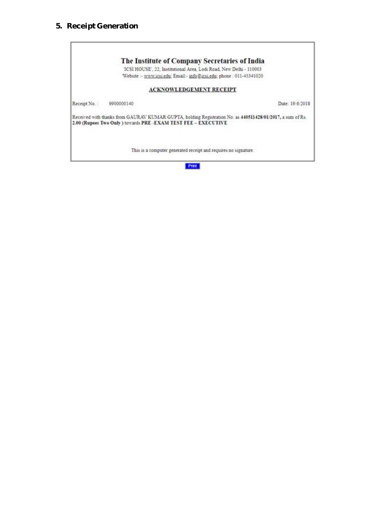### **5. Receipt Generation**



Print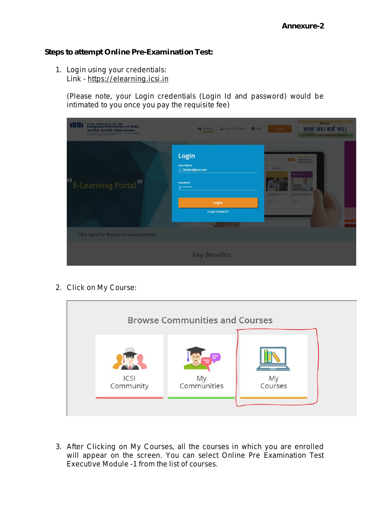#### **Steps to attempt Online Pre-Examination Test:**

1. Login using your credentials: Link - https://elearning.icsi.in

(Please note, your Login credentials (Login Id and password) would be intimated to you once you pay the requisite fee)

| <b>108</b><br>THE INSTITUTE OF<br>Company Secretaries of India<br>भारतीय कम्पनी सचिव संस्थान<br>IN PURSUIT OF PROFESSIONAL EXCELLENCE<br><b>Saturday bookly under an Art of Partia</b> | Email Us Visit ICSI website <b>O</b> FAQ                                                                           | <b>ICSI Motto</b><br>सत्यं वद।धर्मं चर।<br>Login<br>speak the truth, abide by the laur- |
|----------------------------------------------------------------------------------------------------------------------------------------------------------------------------------------|--------------------------------------------------------------------------------------------------------------------|-----------------------------------------------------------------------------------------|
| "E-Learning Portal"                                                                                                                                                                    | Login<br><b>User Name</b><br>Student@icsi.com<br>Password<br><b>A</b> ********<br>Login<br><b>Forgot Password?</b> | हैं कार्य कर बड़ी बर।<br><b>Programs</b><br><b>PARTIES</b><br>--<br>--                  |
| <b>Click here For Recent Announcements</b>                                                                                                                                             |                                                                                                                    |                                                                                         |
|                                                                                                                                                                                        | <b>Key Benefits</b>                                                                                                |                                                                                         |

2. Click on My Course:



3. After Clicking on My Courses, all the courses in which you are enrolled will appear on the screen. You can select Online Pre Examination Test Executive Module -1 from the list of courses.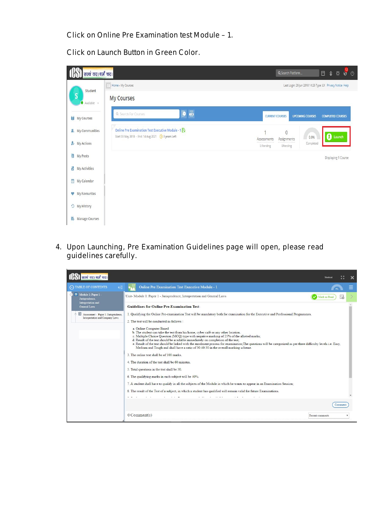Click on Online Pre Examination test Module – 1.

Click on Launch Button in Green Color.

| सत्यं वद।धर्मं चर।                        |                                                                                                       | $\frac{12}{6}$ d<br>▲ 章<br>$\Box$<br>Q Search Platform                        |
|-------------------------------------------|-------------------------------------------------------------------------------------------------------|-------------------------------------------------------------------------------|
| Student                                   | $\equiv$ Home » My Courses                                                                            | Last Login: 29 Jun 2018 14:25 Type: LX Privacy Notice Help                    |
| S<br>$\bullet$ Available $\ast$           | <b>My Courses</b>                                                                                     |                                                                               |
| <b>II</b> My Courses                      | DB<br>Q. Search For Courses                                                                           | <b>UPCOMING COURSES</b><br><b>CURRENT COURSES</b><br><b>COMPLETED COURSES</b> |
| My Communities<br>$\mathbf{R}$            | Online Pre Examination Test Executive Module - 1<br>Start 03 May 2018 - End: 14 Aug 2021 3 years Left | $\overline{0}$<br>$\mathbf 0$ Launch<br>0.0%<br>Assessments                   |
| & My Actions                              |                                                                                                       | Assignments<br>Completed<br>0 Pending<br><b>OPending</b>                      |
| 国<br><b>My Posts</b>                      |                                                                                                       | Displaying 1 Course                                                           |
| ť.<br>My Activities                       |                                                                                                       |                                                                               |
| 首<br><b>My Calendar</b>                   |                                                                                                       |                                                                               |
| My Favourites<br>v<br><b>3</b> My History |                                                                                                       |                                                                               |
| lő.<br>Manage Courses                     |                                                                                                       |                                                                               |

4. Upon Launching, Pre Examination Guidelines page will open, please read guidelines carefully.

| सत्यं वद।धर्मं चर।                                                      |                                                                                                                                                                                                                                                                                                                                                                                                                                                                                                                                                         | Student         |         |  |  |  |
|-------------------------------------------------------------------------|---------------------------------------------------------------------------------------------------------------------------------------------------------------------------------------------------------------------------------------------------------------------------------------------------------------------------------------------------------------------------------------------------------------------------------------------------------------------------------------------------------------------------------------------------------|-----------------|---------|--|--|--|
| A TABLE OF CONTENTS                                                     | Online Pre Examination Test Executive Module - 1                                                                                                                                                                                                                                                                                                                                                                                                                                                                                                        |                 |         |  |  |  |
| Module 1: Paper 1 -<br>Jurisprudence,                                   | Unit- Module 1: Paper 1 - Jurisprudence, Interpretation and General Laws                                                                                                                                                                                                                                                                                                                                                                                                                                                                                | Mark as Read    |         |  |  |  |
| Interpretation and<br>General Laws                                      | <b>Guidelines for Online Pre-Examination Test-</b>                                                                                                                                                                                                                                                                                                                                                                                                                                                                                                      |                 |         |  |  |  |
| Assessment - Paper 1: Jurisprudence,<br>Interpretation and Company Laws | 1. Qualifying the Online Pre-examination Test will be mandatory both for examination for the Executive and Professional Programmes.<br>2. The test will be conducted as follows :                                                                                                                                                                                                                                                                                                                                                                       |                 |         |  |  |  |
|                                                                         | a. Online Computer Based<br>b. The student can take the test from his home, cyber café or any other location.<br>c. Multiple Choice Question (MCQ) type with negative marking of 25% of the allotted marks;<br>d. Result of the test should be available immediately on completion of the test;<br>e. Result of the test should be linked with the enrolment process for examination; The questions will be categorized as per three difficulty levels i.e. Easy,<br>Medium and Tough and shall have a ratio of 30:40:30 in the overall marking scheme. |                 |         |  |  |  |
|                                                                         | 3. The online test shall be of 100 marks.                                                                                                                                                                                                                                                                                                                                                                                                                                                                                                               |                 |         |  |  |  |
|                                                                         | 4. The duration of the test shall be 60 minutes.                                                                                                                                                                                                                                                                                                                                                                                                                                                                                                        |                 |         |  |  |  |
|                                                                         | 5. Total questions in the test shall be 50.                                                                                                                                                                                                                                                                                                                                                                                                                                                                                                             |                 |         |  |  |  |
|                                                                         | 6. The qualifying marks in each subject will be 40%.                                                                                                                                                                                                                                                                                                                                                                                                                                                                                                    |                 |         |  |  |  |
|                                                                         | 7. A student shall have to qualify in all the subjects of the Module in which he wants to appear in an Examination Session;                                                                                                                                                                                                                                                                                                                                                                                                                             |                 |         |  |  |  |
|                                                                         | 8. The result of the Test of a subject, in which a student has qualified will remain valid for future Examinations.                                                                                                                                                                                                                                                                                                                                                                                                                                     |                 |         |  |  |  |
|                                                                         |                                                                                                                                                                                                                                                                                                                                                                                                                                                                                                                                                         |                 |         |  |  |  |
|                                                                         |                                                                                                                                                                                                                                                                                                                                                                                                                                                                                                                                                         |                 | Comment |  |  |  |
|                                                                         | $0$ Comment(s)                                                                                                                                                                                                                                                                                                                                                                                                                                                                                                                                          | Recent comments |         |  |  |  |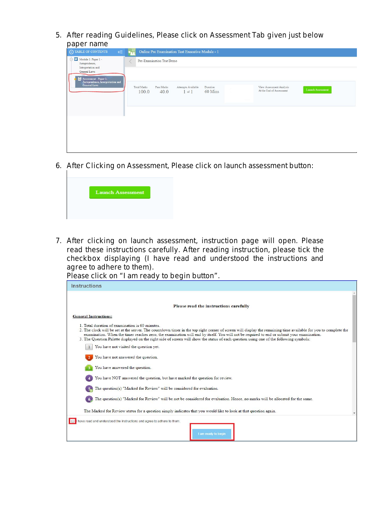5. After reading Guidelines, Please click on Assessment Tab given just below paper name

| $\bigodot$ TABLE OF CONTENTS<br>$\Leftarrow$<br>$\odot$ $\blacksquare$ Module 1: Paper 1 -<br>Jurisprudence,<br>Interpretation and | Online Pre Examination Test Executive Module - 1<br>Pre-Examination Test Demo                                                                                                         |
|------------------------------------------------------------------------------------------------------------------------------------|---------------------------------------------------------------------------------------------------------------------------------------------------------------------------------------|
| General Laws<br>Assessment - Paper 1:<br>Jurisprudence, Interpretation and<br>General Laws                                         | Total Marks<br>Pass Marks<br>Attempts Available<br>View Assessment Analysis<br>Duration<br><b>Launch Assessment</b><br>At the End of Assessment<br>60 Mins<br>40.0<br>100.0<br>1 of 1 |
|                                                                                                                                    |                                                                                                                                                                                       |

6. After Clicking on Assessment, Please click on launch assessment button:



7. After clicking on launch assessment, instruction page will open. Please read these instructions carefully. After reading instruction, please tick the checkbox displaying (I have read and understood the instructions and agree to adhere to them).

Please click on "I am ready to begin button".

| Instructions                                                                                                                                                                                                                                                                                                                                                                                                                                                                                             |  |
|----------------------------------------------------------------------------------------------------------------------------------------------------------------------------------------------------------------------------------------------------------------------------------------------------------------------------------------------------------------------------------------------------------------------------------------------------------------------------------------------------------|--|
| Please read the instructions carefully                                                                                                                                                                                                                                                                                                                                                                                                                                                                   |  |
|                                                                                                                                                                                                                                                                                                                                                                                                                                                                                                          |  |
| <b>General Instructions:</b>                                                                                                                                                                                                                                                                                                                                                                                                                                                                             |  |
| 1 Total duration of examination is 60 minutes<br>2. The clock will be set at the server. The countdown timer in the top right corner of screen will display the remaining time available for you to complete the<br>examination. When the timer reaches zero, the examination will end by itself. You will not be required to end or submit your examination.<br>3. The Question Palette displayed on the right side of screen will show the status of each question using one of the following symbols: |  |
| You have not visited the question yet.                                                                                                                                                                                                                                                                                                                                                                                                                                                                   |  |
| You have not answered the question.                                                                                                                                                                                                                                                                                                                                                                                                                                                                      |  |
| You have answered the question.                                                                                                                                                                                                                                                                                                                                                                                                                                                                          |  |
| You have NOT answered the question, but have marked the question for review.                                                                                                                                                                                                                                                                                                                                                                                                                             |  |
| The question(s) "Marked for Review" will be considered for evaluation.                                                                                                                                                                                                                                                                                                                                                                                                                                   |  |
| The question(s) "Marked for Review" will be not be considered for evaluation. Hence, no marks will be allocated for the same.                                                                                                                                                                                                                                                                                                                                                                            |  |
| The Marked for Review status for a question simply indicates that you would like to look at that question again.                                                                                                                                                                                                                                                                                                                                                                                         |  |
| have read and understood the instructions and agree to adhere to them.<br>I am ready to begin                                                                                                                                                                                                                                                                                                                                                                                                            |  |